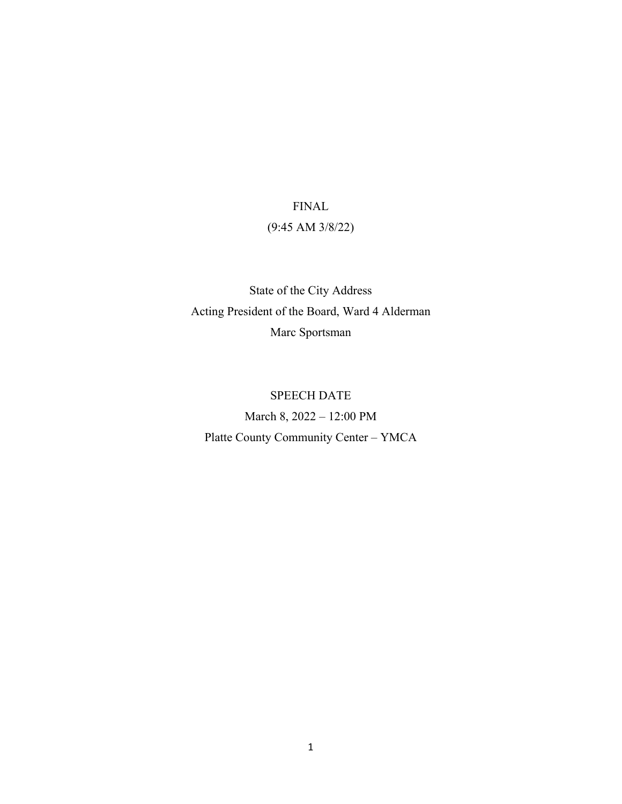## FINAL

## (9:45 AM 3/8/22)

State of the City Address Acting President of the Board, Ward 4 Alderman Marc Sportsman

## SPEECH DATE

March 8, 2022 – 12:00 PM Platte County Community Center – YMCA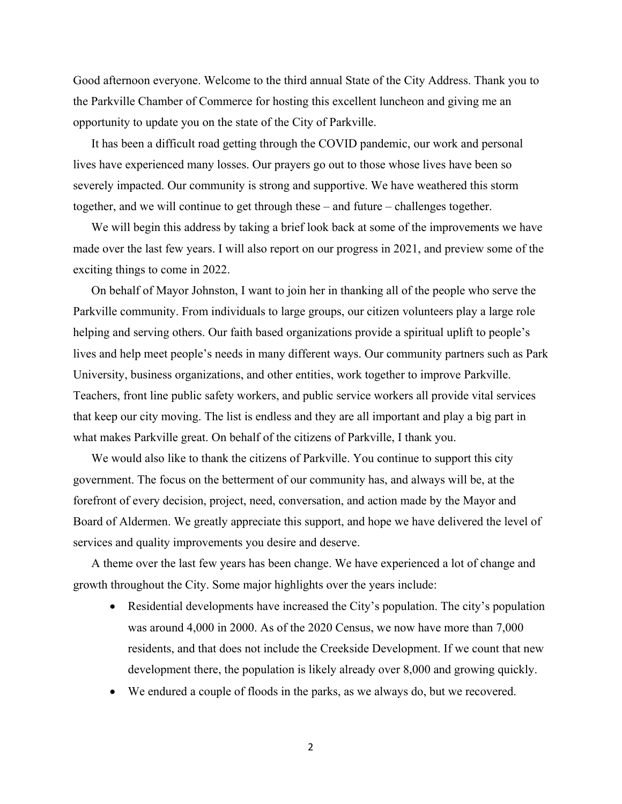Good afternoon everyone. Welcome to the third annual State of the City Address. Thank you to the Parkville Chamber of Commerce for hosting this excellent luncheon and giving me an opportunity to update you on the state of the City of Parkville.

It has been a difficult road getting through the COVID pandemic, our work and personal lives have experienced many losses. Our prayers go out to those whose lives have been so severely impacted. Our community is strong and supportive. We have weathered this storm together, and we will continue to get through these – and future – challenges together.

We will begin this address by taking a brief look back at some of the improvements we have made over the last few years. I will also report on our progress in 2021, and preview some of the exciting things to come in 2022.

On behalf of Mayor Johnston, I want to join her in thanking all of the people who serve the Parkville community. From individuals to large groups, our citizen volunteers play a large role helping and serving others. Our faith based organizations provide a spiritual uplift to people's lives and help meet people's needs in many different ways. Our community partners such as Park University, business organizations, and other entities, work together to improve Parkville. Teachers, front line public safety workers, and public service workers all provide vital services that keep our city moving. The list is endless and they are all important and play a big part in what makes Parkville great. On behalf of the citizens of Parkville, I thank you.

We would also like to thank the citizens of Parkville. You continue to support this city government. The focus on the betterment of our community has, and always will be, at the forefront of every decision, project, need, conversation, and action made by the Mayor and Board of Aldermen. We greatly appreciate this support, and hope we have delivered the level of services and quality improvements you desire and deserve.

A theme over the last few years has been change. We have experienced a lot of change and growth throughout the City. Some major highlights over the years include:

- Residential developments have increased the City's population. The city's population was around 4,000 in 2000. As of the 2020 Census, we now have more than 7,000 residents, and that does not include the Creekside Development. If we count that new development there, the population is likely already over 8,000 and growing quickly.
- We endured a couple of floods in the parks, as we always do, but we recovered.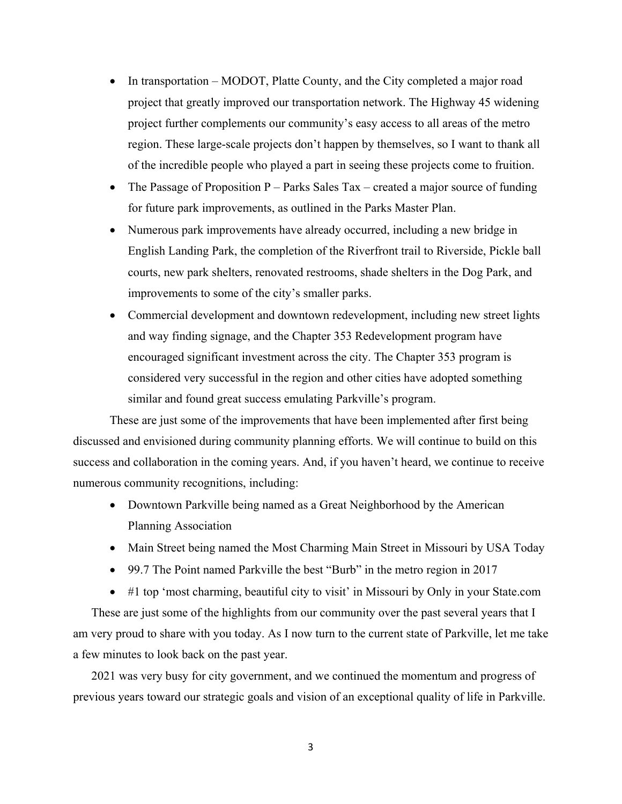- In transportation MODOT, Platte County, and the City completed a major road project that greatly improved our transportation network. The Highway 45 widening project further complements our community's easy access to all areas of the metro region. These large-scale projects don't happen by themselves, so I want to thank all of the incredible people who played a part in seeing these projects come to fruition.
- The Passage of Proposition  $P -$  Parks Sales Tax created a major source of funding for future park improvements, as outlined in the Parks Master Plan.
- Numerous park improvements have already occurred, including a new bridge in English Landing Park, the completion of the Riverfront trail to Riverside, Pickle ball courts, new park shelters, renovated restrooms, shade shelters in the Dog Park, and improvements to some of the city's smaller parks.
- Commercial development and downtown redevelopment, including new street lights and way finding signage, and the Chapter 353 Redevelopment program have encouraged significant investment across the city. The Chapter 353 program is considered very successful in the region and other cities have adopted something similar and found great success emulating Parkville's program.

These are just some of the improvements that have been implemented after first being discussed and envisioned during community planning efforts. We will continue to build on this success and collaboration in the coming years. And, if you haven't heard, we continue to receive numerous community recognitions, including:

- Downtown Parkville being named as a Great Neighborhood by the American Planning Association
- Main Street being named the Most Charming Main Street in Missouri by USA Today
- 99.7 The Point named Parkville the best "Burb" in the metro region in 2017
- #1 top 'most charming, beautiful city to visit' in Missouri by Only in your State.com

These are just some of the highlights from our community over the past several years that I am very proud to share with you today. As I now turn to the current state of Parkville, let me take a few minutes to look back on the past year.

2021 was very busy for city government, and we continued the momentum and progress of previous years toward our strategic goals and vision of an exceptional quality of life in Parkville.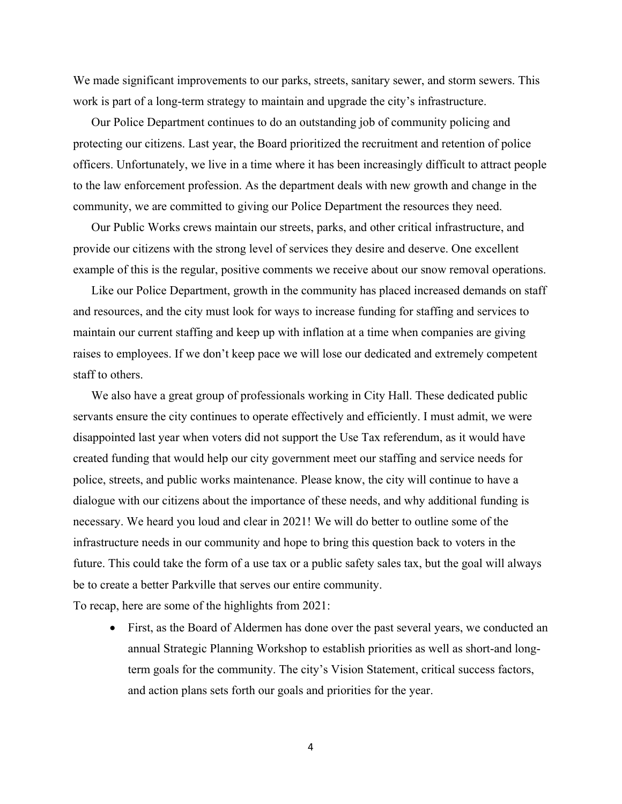We made significant improvements to our parks, streets, sanitary sewer, and storm sewers. This work is part of a long-term strategy to maintain and upgrade the city's infrastructure.

Our Police Department continues to do an outstanding job of community policing and protecting our citizens. Last year, the Board prioritized the recruitment and retention of police officers. Unfortunately, we live in a time where it has been increasingly difficult to attract people to the law enforcement profession. As the department deals with new growth and change in the community, we are committed to giving our Police Department the resources they need.

Our Public Works crews maintain our streets, parks, and other critical infrastructure, and provide our citizens with the strong level of services they desire and deserve. One excellent example of this is the regular, positive comments we receive about our snow removal operations.

Like our Police Department, growth in the community has placed increased demands on staff and resources, and the city must look for ways to increase funding for staffing and services to maintain our current staffing and keep up with inflation at a time when companies are giving raises to employees. If we don't keep pace we will lose our dedicated and extremely competent staff to others.

We also have a great group of professionals working in City Hall. These dedicated public servants ensure the city continues to operate effectively and efficiently. I must admit, we were disappointed last year when voters did not support the Use Tax referendum, as it would have created funding that would help our city government meet our staffing and service needs for police, streets, and public works maintenance. Please know, the city will continue to have a dialogue with our citizens about the importance of these needs, and why additional funding is necessary. We heard you loud and clear in 2021! We will do better to outline some of the infrastructure needs in our community and hope to bring this question back to voters in the future. This could take the form of a use tax or a public safety sales tax, but the goal will always be to create a better Parkville that serves our entire community.

To recap, here are some of the highlights from 2021:

 First, as the Board of Aldermen has done over the past several years, we conducted an annual Strategic Planning Workshop to establish priorities as well as short-and longterm goals for the community. The city's Vision Statement, critical success factors, and action plans sets forth our goals and priorities for the year.

4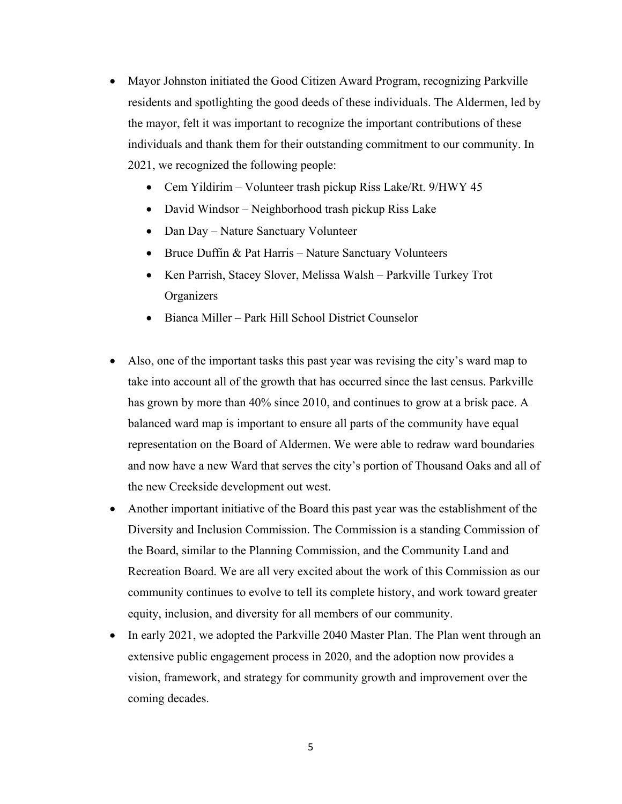- Mayor Johnston initiated the Good Citizen Award Program, recognizing Parkville residents and spotlighting the good deeds of these individuals. The Aldermen, led by the mayor, felt it was important to recognize the important contributions of these individuals and thank them for their outstanding commitment to our community. In 2021, we recognized the following people:
	- Cem Yildirim Volunteer trash pickup Riss Lake/Rt. 9/HWY 45
	- David Windsor Neighborhood trash pickup Riss Lake
	- Dan Day Nature Sanctuary Volunteer
	- Bruce Duffin & Pat Harris Nature Sanctuary Volunteers
	- Ken Parrish, Stacey Slover, Melissa Walsh Parkville Turkey Trot **Organizers**
	- Bianca Miller Park Hill School District Counselor
- Also, one of the important tasks this past year was revising the city's ward map to take into account all of the growth that has occurred since the last census. Parkville has grown by more than 40% since 2010, and continues to grow at a brisk pace. A balanced ward map is important to ensure all parts of the community have equal representation on the Board of Aldermen. We were able to redraw ward boundaries and now have a new Ward that serves the city's portion of Thousand Oaks and all of the new Creekside development out west.
- Another important initiative of the Board this past year was the establishment of the Diversity and Inclusion Commission. The Commission is a standing Commission of the Board, similar to the Planning Commission, and the Community Land and Recreation Board. We are all very excited about the work of this Commission as our community continues to evolve to tell its complete history, and work toward greater equity, inclusion, and diversity for all members of our community.
- In early 2021, we adopted the Parkville 2040 Master Plan. The Plan went through an extensive public engagement process in 2020, and the adoption now provides a vision, framework, and strategy for community growth and improvement over the coming decades.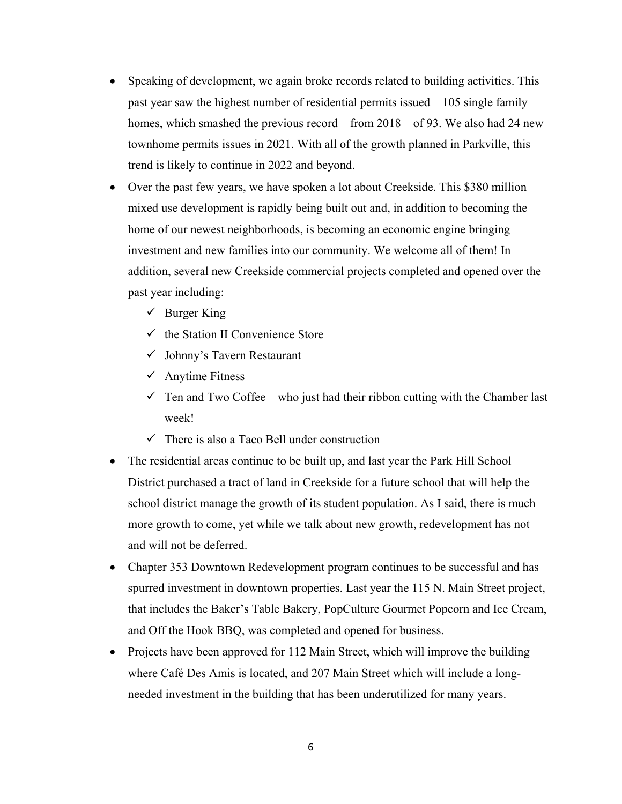- Speaking of development, we again broke records related to building activities. This past year saw the highest number of residential permits issued – 105 single family homes, which smashed the previous record – from 2018 – of 93. We also had 24 new townhome permits issues in 2021. With all of the growth planned in Parkville, this trend is likely to continue in 2022 and beyond.
- Over the past few years, we have spoken a lot about Creekside. This \$380 million mixed use development is rapidly being built out and, in addition to becoming the home of our newest neighborhoods, is becoming an economic engine bringing investment and new families into our community. We welcome all of them! In addition, several new Creekside commercial projects completed and opened over the past year including:
	- $\checkmark$  Burger King
	- $\checkmark$  the Station II Convenience Store
	- $\checkmark$  Johnny's Tavern Restaurant
	- $\checkmark$  Anytime Fitness
	- $\checkmark$  Ten and Two Coffee who just had their ribbon cutting with the Chamber last week!
	- $\checkmark$  There is also a Taco Bell under construction
- The residential areas continue to be built up, and last year the Park Hill School District purchased a tract of land in Creekside for a future school that will help the school district manage the growth of its student population. As I said, there is much more growth to come, yet while we talk about new growth, redevelopment has not and will not be deferred.
- Chapter 353 Downtown Redevelopment program continues to be successful and has spurred investment in downtown properties. Last year the 115 N. Main Street project, that includes the Baker's Table Bakery, PopCulture Gourmet Popcorn and Ice Cream, and Off the Hook BBQ, was completed and opened for business.
- Projects have been approved for 112 Main Street, which will improve the building where Café Des Amis is located, and 207 Main Street which will include a longneeded investment in the building that has been underutilized for many years.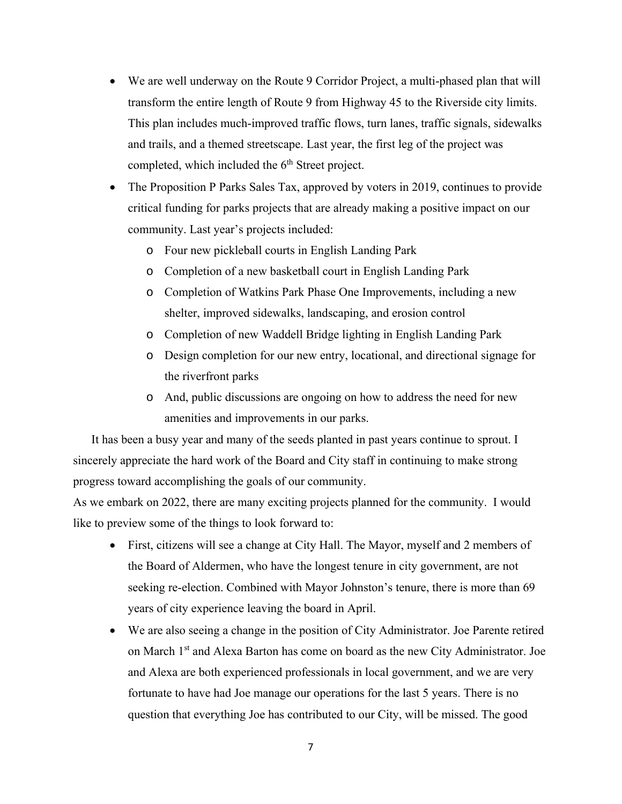- We are well underway on the Route 9 Corridor Project, a multi-phased plan that will transform the entire length of Route 9 from Highway 45 to the Riverside city limits. This plan includes much-improved traffic flows, turn lanes, traffic signals, sidewalks and trails, and a themed streetscape. Last year, the first leg of the project was completed, which included the  $6<sup>th</sup>$  Street project.
- The Proposition P Parks Sales Tax, approved by voters in 2019, continues to provide critical funding for parks projects that are already making a positive impact on our community. Last year's projects included:
	- o Four new pickleball courts in English Landing Park
	- o Completion of a new basketball court in English Landing Park
	- o Completion of Watkins Park Phase One Improvements, including a new shelter, improved sidewalks, landscaping, and erosion control
	- o Completion of new Waddell Bridge lighting in English Landing Park
	- o Design completion for our new entry, locational, and directional signage for the riverfront parks
	- o And, public discussions are ongoing on how to address the need for new amenities and improvements in our parks.

It has been a busy year and many of the seeds planted in past years continue to sprout. I sincerely appreciate the hard work of the Board and City staff in continuing to make strong progress toward accomplishing the goals of our community.

As we embark on 2022, there are many exciting projects planned for the community. I would like to preview some of the things to look forward to:

- First, citizens will see a change at City Hall. The Mayor, myself and 2 members of the Board of Aldermen, who have the longest tenure in city government, are not seeking re-election. Combined with Mayor Johnston's tenure, there is more than 69 years of city experience leaving the board in April.
- We are also seeing a change in the position of City Administrator. Joe Parente retired on March 1<sup>st</sup> and Alexa Barton has come on board as the new City Administrator. Joe and Alexa are both experienced professionals in local government, and we are very fortunate to have had Joe manage our operations for the last 5 years. There is no question that everything Joe has contributed to our City, will be missed. The good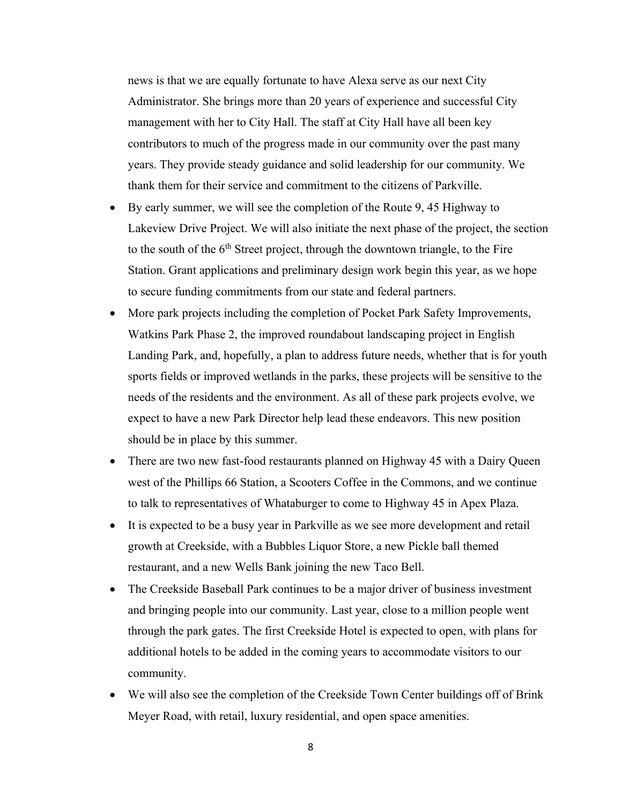news is that we are equally fortunate to have Alexa serve as our next City Administrator. She brings more than 20 years of experience and successful City management with her to City Hall. The staff at City Hall have all been key contributors to much of the progress made in our community over the past many years. They provide steady guidance and solid leadership for our community. We thank them for their service and commitment to the citizens of Parkville.

- By early summer, we will see the completion of the Route 9, 45 Highway to Lakeview Drive Project. We will also initiate the next phase of the project, the section to the south of the  $6<sup>th</sup>$  Street project, through the downtown triangle, to the Fire Station. Grant applications and preliminary design work begin this year, as we hope to secure funding commitments from our state and federal partners.
- More park projects including the completion of Pocket Park Safety Improvements, Watkins Park Phase 2, the improved roundabout landscaping project in English Landing Park, and, hopefully, a plan to address future needs, whether that is for youth sports fields or improved wetlands in the parks, these projects will be sensitive to the needs of the residents and the environment. As all of these park projects evolve, we expect to have a new Park Director help lead these endeavors. This new position should be in place by this summer.
- There are two new fast-food restaurants planned on Highway 45 with a Dairy Queen west of the Phillips 66 Station, a Scooters Coffee in the Commons, and we continue to talk to representatives of Whataburger to come to Highway 45 in Apex Plaza.
- It is expected to be a busy year in Parkville as we see more development and retail growth at Creekside, with a Bubbles Liquor Store, a new Pickle ball themed restaurant, and a new Wells Bank joining the new Taco Bell.
- The Creekside Baseball Park continues to be a major driver of business investment and bringing people into our community. Last year, close to a million people went through the park gates. The first Creekside Hotel is expected to open, with plans for additional hotels to be added in the coming years to accommodate visitors to our community.
- We will also see the completion of the Creekside Town Center buildings off of Brink Meyer Road, with retail, luxury residential, and open space amenities.

8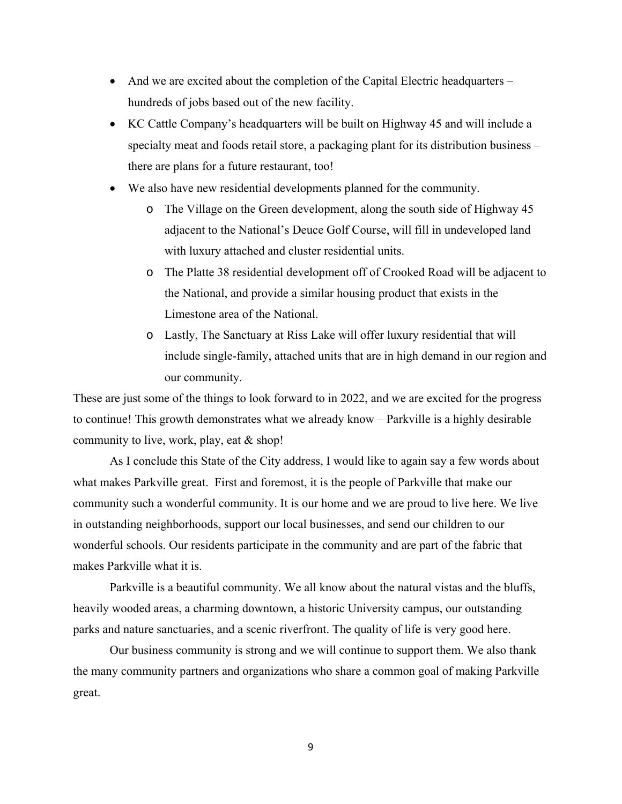- And we are excited about the completion of the Capital Electric headquarters hundreds of jobs based out of the new facility.
- KC Cattle Company's headquarters will be built on Highway 45 and will include a specialty meat and foods retail store, a packaging plant for its distribution business – there are plans for a future restaurant, too!
- We also have new residential developments planned for the community.
	- o The Village on the Green development, along the south side of Highway 45 adjacent to the National's Deuce Golf Course, will fill in undeveloped land with luxury attached and cluster residential units.
	- o The Platte 38 residential development off of Crooked Road will be adjacent to the National, and provide a similar housing product that exists in the Limestone area of the National.
	- o Lastly, The Sanctuary at Riss Lake will offer luxury residential that will include single-family, attached units that are in high demand in our region and our community.

These are just some of the things to look forward to in 2022, and we are excited for the progress to continue! This growth demonstrates what we already know – Parkville is a highly desirable community to live, work, play, eat & shop!

As I conclude this State of the City address, I would like to again say a few words about what makes Parkville great. First and foremost, it is the people of Parkville that make our community such a wonderful community. It is our home and we are proud to live here. We live in outstanding neighborhoods, support our local businesses, and send our children to our wonderful schools. Our residents participate in the community and are part of the fabric that makes Parkville what it is.

Parkville is a beautiful community. We all know about the natural vistas and the bluffs, heavily wooded areas, a charming downtown, a historic University campus, our outstanding parks and nature sanctuaries, and a scenic riverfront. The quality of life is very good here.

Our business community is strong and we will continue to support them. We also thank the many community partners and organizations who share a common goal of making Parkville great.